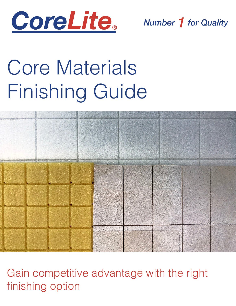

**Number 1 for Quality** 

# Core Materials Finishing Guide



Gain competitive advantage with the right finishing option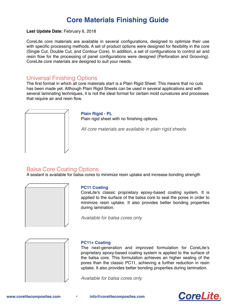## **Core Materials Finishing Guide**

#### Last Update Date: February 6, 2018

CoreLite core materials are available in several configurations, designed to optimize their use with specific processing methods. A set of product options were designed for flexibility in the core (Single Cut, Double Cut, and Contour Core). In addition, a set of configurations to control air and resin flow for the processing of panel configurations were designed (Perforation and Grooving). CoreLite core materials are designed to suit your needs.

### Universal Finishing Options

The first format in which all core materials start is a Plain Rigid Sheet. This means that no cuts has been made yet. Although Plain Rigid Sheets can be used in several applications and with several laminating techniques, it is not the ideal format for certain mold curvatures and processes that require air and resin flow.



#### **Plain Rigid - PL**

Plain rigid sheet with no finishing options.

*All core materials are available in plain rigid sheets.*

## Balsa Core Coating Options

A sealant is available for balsa cores to minimize resin uptake and increase bonding strength



#### **PC11 Coating**

CoreLite's classic proprietary epoxy-based coating system. It is applied to the surface of the balsa core to seal the pores in order to minimize resin uptake. It also provides better bonding properties during lamination.

*Available for balsa cores only.*



#### **PC11+ Coating**

The next-generation and improved formulation for CoreLite's proprietary epoxy-based coating system is applied to the surface of the balsa core. This formulation achieves an higher sealing of the pores than the classic PC11, achieving a further reduction in resin uptake. It also provides better bonding properties during lamination.

*Available for balsa cores only.*

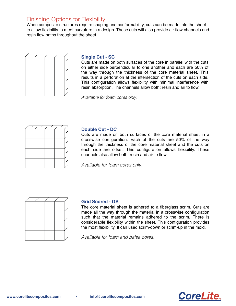## Finishing Options for Flexibility

When composite structures require shaping and conformability, cuts can be made into the sheet to allow flexibility to meet curvature in a design. These cuts will also provide air flow channels and resin flow paths throughout the sheet.



#### **Single Cut - SC**

Cuts are made on both surfaces of the core in parallel with the cuts on either side perpendicular to one another and each are 50% of the way through the thickness of the core material sheet. This results in a perforation at the intersection of the cuts on each side. This configuration allows flexibility with minimal interference with resin absorption**.** The channels allow both; resin and air to flow.

*Available for foam cores only.*



#### **Double Cut - DC**

Cuts are made on both surfaces of the core material sheet in a crosswise configuration. Each of the cuts are 50% of the way through the thickness of the core material sheet and the cuts on each side are offset. This configuration allows flexibility. These channels also allow both; resin and air to flow.

*Available for foam cores only.*



#### **Grid Scored - GS**

The core material sheet is adhered to a fiberglass scrim. Cuts are made all the way through the material in a crosswise configuration such that the material remains adhered to the scrim. There is considerable flexibility within the sheet. This configuration provides the most flexibility. It can used scrim-down or scrim-up in the mold.

*Available for foam and balsa cores.*

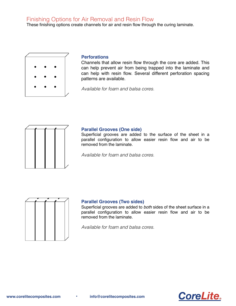## Finishing Options for Air Removal and Resin Flow

These finishing options create channels for air and resin flow through the curing laminate.



#### **Perforations**

Channels that allow resin flow through the core are added. This can help prevent air from being trapped into the laminate and can help with resin flow. Several different perforation spacing patterns are available.

*Available for foam and balsa cores.*



#### **Parallel Grooves (One side)**

Superficial grooves are added to the surface of the sheet in a parallel configuration to allow easier resin flow and air to be removed from the laminate.

*Available for foam and balsa cores.*



#### **Parallel Grooves (Two sides)**

Superficial grooves are added to *both* sides of the sheet surface in a parallel configuration to allow easier resin flow and air to be removed from the laminate.

*Available for foam and balsa cores.*

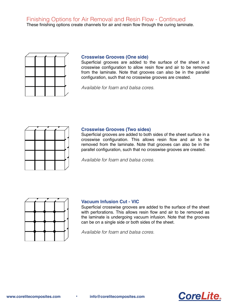Finishing Options for Air Removal and Resin Flow - Continued

These finishing options create channels for air and resin flow through the curing laminate.



#### **Crosswise Grooves (One side)**

Superficial grooves are added to the surface of the sheet in a crosswise configuration to allow resin flow and air to be removed from the laminate. Note that grooves can also be in the parallel configuration, such that no crosswise grooves are created.

*Available for foam and balsa cores.*



#### **Crosswise Grooves (Two sides)**

Superficial grooves are added to both sides of the sheet surface in a crosswise configuration. This allows resin flow and air to be removed from the laminate. Note that grooves can also be in the parallel configuration, such that no crosswise grooves are created.

*Available for foam and balsa cores.*



#### **Vacuum Infusion Cut - VIC**

Superficial crosswise grooves are added to the surface of the sheet with perforations. This allows resin flow and air to be removed as the laminate is undergoing vacuum infusion. Note that the grooves can be on a single side or both sides of the sheet.

*Available for foam and balsa cores.*